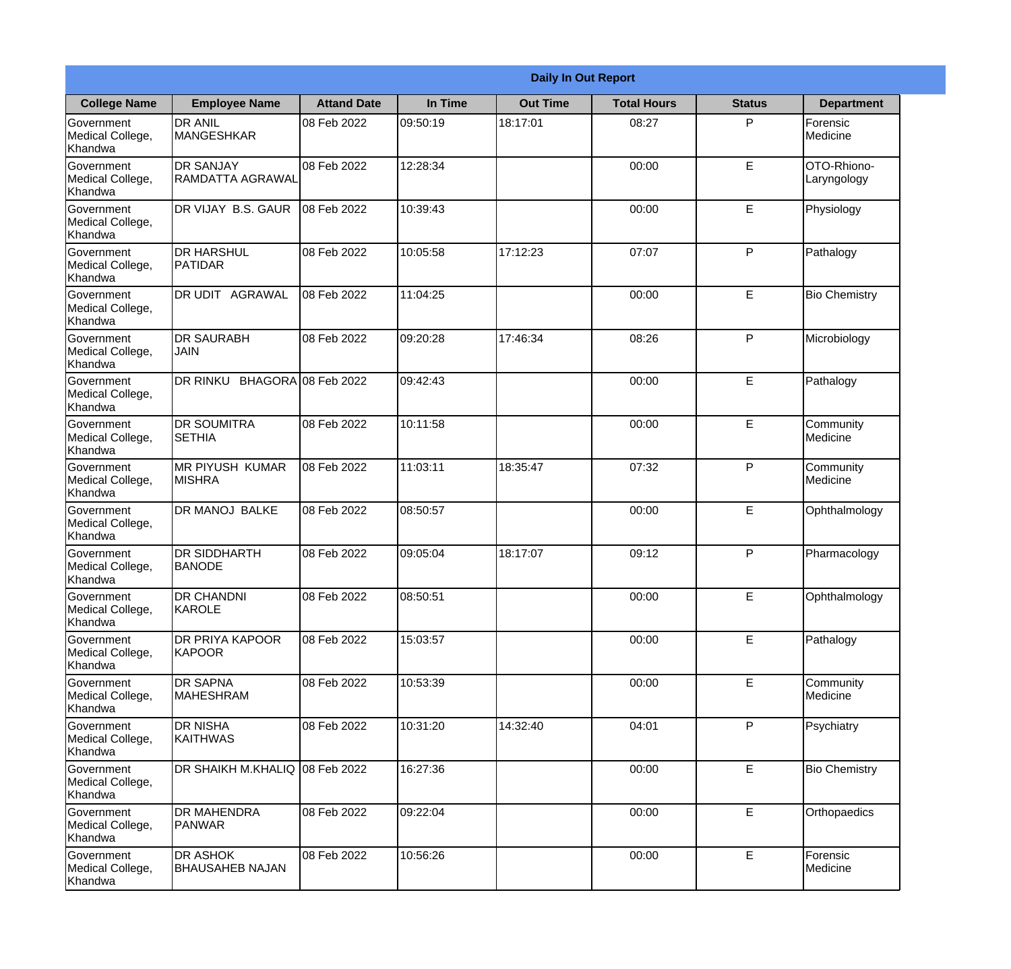|                                                  |                                             |                    |          | <b>Daily In Out Report</b> |                    |               |                            |
|--------------------------------------------------|---------------------------------------------|--------------------|----------|----------------------------|--------------------|---------------|----------------------------|
| <b>College Name</b>                              | <b>Employee Name</b>                        | <b>Attand Date</b> | In Time  | <b>Out Time</b>            | <b>Total Hours</b> | <b>Status</b> | <b>Department</b>          |
| Government<br>Medical College,<br>Khandwa        | <b>DR ANIL</b><br><b>MANGESHKAR</b>         | 08 Feb 2022        | 09:50:19 | 18:17:01                   | 08:27              | P             | Forensic<br>Medicine       |
| Government<br>Medical College,<br>Khandwa        | <b>DR SANJAY</b><br><b>RAMDATTA AGRAWAL</b> | 08 Feb 2022        | 12:28:34 |                            | 00:00              | E             | OTO-Rhiono-<br>Laryngology |
| <b>Government</b><br>Medical College,<br>Khandwa | DR VIJAY B.S. GAUR                          | 08 Feb 2022        | 10:39:43 |                            | 00:00              | E             | Physiology                 |
| Government<br>Medical College,<br>Khandwa        | <b>DR HARSHUL</b><br>PATIDAR                | 08 Feb 2022        | 10:05:58 | 17:12:23                   | 07:07              | P             | Pathalogy                  |
| <b>Government</b><br>Medical College,<br>Khandwa | DR UDIT AGRAWAL                             | 08 Feb 2022        | 11:04:25 |                            | 00:00              | E             | <b>Bio Chemistry</b>       |
| Government<br>Medical College,<br>Khandwa        | <b>DR SAURABH</b><br><b>JAIN</b>            | 08 Feb 2022        | 09:20:28 | 17:46:34                   | 08:26              | P             | Microbiology               |
| Government<br>Medical College,<br>Khandwa        | DR RINKU BHAGORA 08 Feb 2022                |                    | 09:42:43 |                            | 00:00              | E             | Pathalogy                  |
| Government<br>Medical College,<br>Khandwa        | <b>DR SOUMITRA</b><br><b>SETHIA</b>         | 08 Feb 2022        | 10:11:58 |                            | 00:00              | E             | Community<br>Medicine      |
| Government<br>Medical College,<br>Khandwa        | <b>MR PIYUSH KUMAR</b><br><b>MISHRA</b>     | 08 Feb 2022        | 11:03:11 | 18:35:47                   | 07:32              | P             | Community<br>Medicine      |
| Government<br>Medical College,<br>Khandwa        | <b>DR MANOJ BALKE</b>                       | 08 Feb 2022        | 08:50:57 |                            | 00:00              | E             | Ophthalmology              |
| Government<br>Medical College,<br>Khandwa        | <b>DR SIDDHARTH</b><br><b>BANODE</b>        | 08 Feb 2022        | 09:05:04 | 18:17:07                   | 09:12              | $\mathsf{P}$  | Pharmacology               |
| Government<br>Medical College,<br>Khandwa        | <b>DR CHANDNI</b><br>KAROLE                 | 08 Feb 2022        | 08:50:51 |                            | 00:00              | E             | Ophthalmology              |
| Government<br>Medical College,<br>Khandwa        | DR PRIYA KAPOOR<br>KAPOOR                   | 08 Feb 2022        | 15:03:57 |                            | 00:00              | E             | Pathalogy                  |
| Government<br>Medical College,<br>Khandwa        | <b>DR SAPNA</b><br><b>MAHESHRAM</b>         | 08 Feb 2022        | 10:53:39 |                            | 00:00              | E             | Community<br>Medicine      |
| <b>Government</b><br>Medical College,<br>Khandwa | <b>DR NISHA</b><br><b>KAITHWAS</b>          | 08 Feb 2022        | 10:31:20 | 14:32:40                   | 04:01              | P             | Psychiatry                 |
| Government<br>Medical College,<br>Khandwa        | DR SHAIKH M.KHALIQ                          | 08 Feb 2022        | 16:27:36 |                            | 00:00              | E             | <b>Bio Chemistry</b>       |
| Government<br>Medical College,<br>Khandwa        | <b>DR MAHENDRA</b><br><b>PANWAR</b>         | 08 Feb 2022        | 09:22:04 |                            | 00:00              | E             | Orthopaedics               |
| Government<br>Medical College,<br>Khandwa        | <b>DR ASHOK</b><br><b>BHAUSAHEB NAJAN</b>   | 08 Feb 2022        | 10:56:26 |                            | 00:00              | E             | Forensic<br>Medicine       |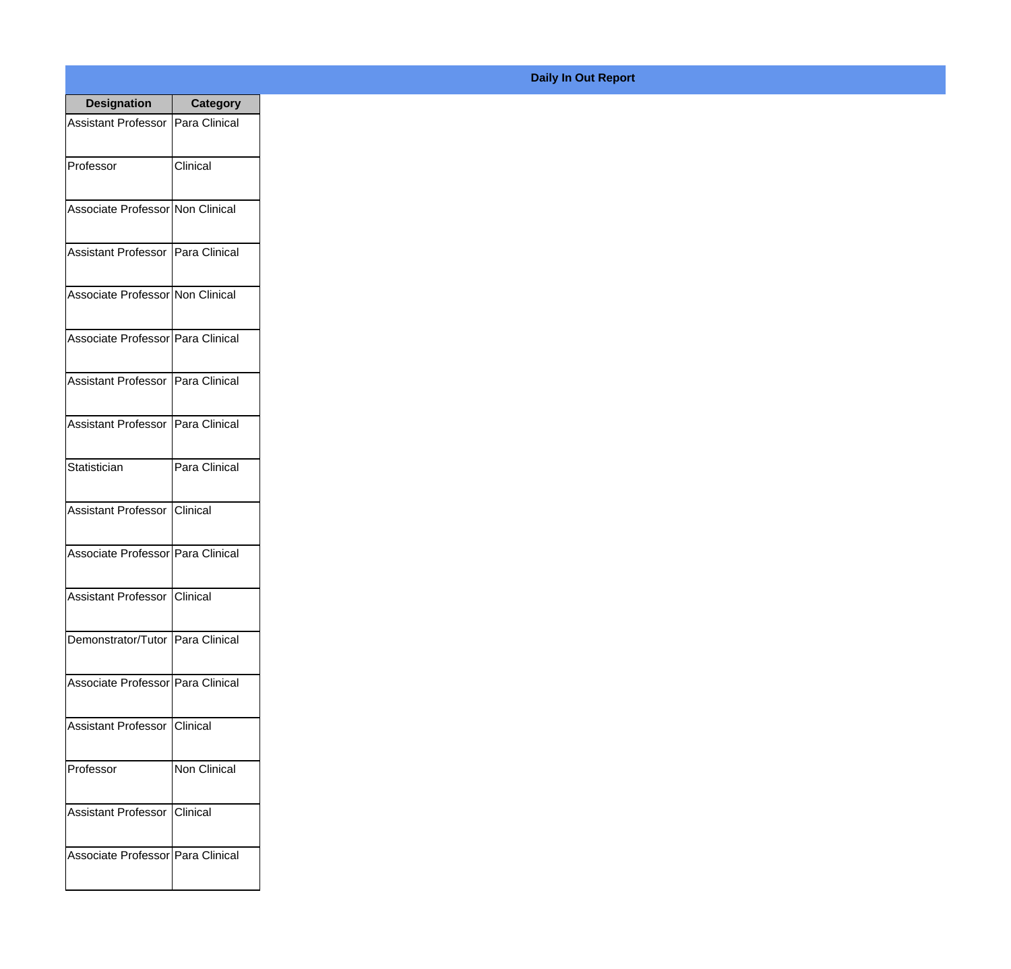| <b>Designation</b>                  | <b>Category</b>     |
|-------------------------------------|---------------------|
| Assistant Professor   Para Clinical |                     |
| Professor                           | Clinical            |
| Associate Professor Non Clinical    |                     |
| Assistant Professor   Para Clinical |                     |
| Associate Professor Non Clinical    |                     |
| Associate Professor   Para Clinical |                     |
| Assistant Professor   Para Clinical |                     |
| Assistant Professor   Para Clinical |                     |
| Statistician                        | Para Clinical       |
| Assistant Professor   Clinical      |                     |
| Associate Professor Para Clinical   |                     |
| Assistant Professor   Clinical      |                     |
| Demonstrator/Tutor   Para Clinical  |                     |
| Associate Professor Para Clinical   |                     |
| Assistant Professor   Clinical      |                     |
| Professor                           | <b>Non Clinical</b> |
| <b>Assistant Professor</b>          | <b>I</b> Clinical   |
| Associate Professor Para Clinical   |                     |

## **Daily In Out Report**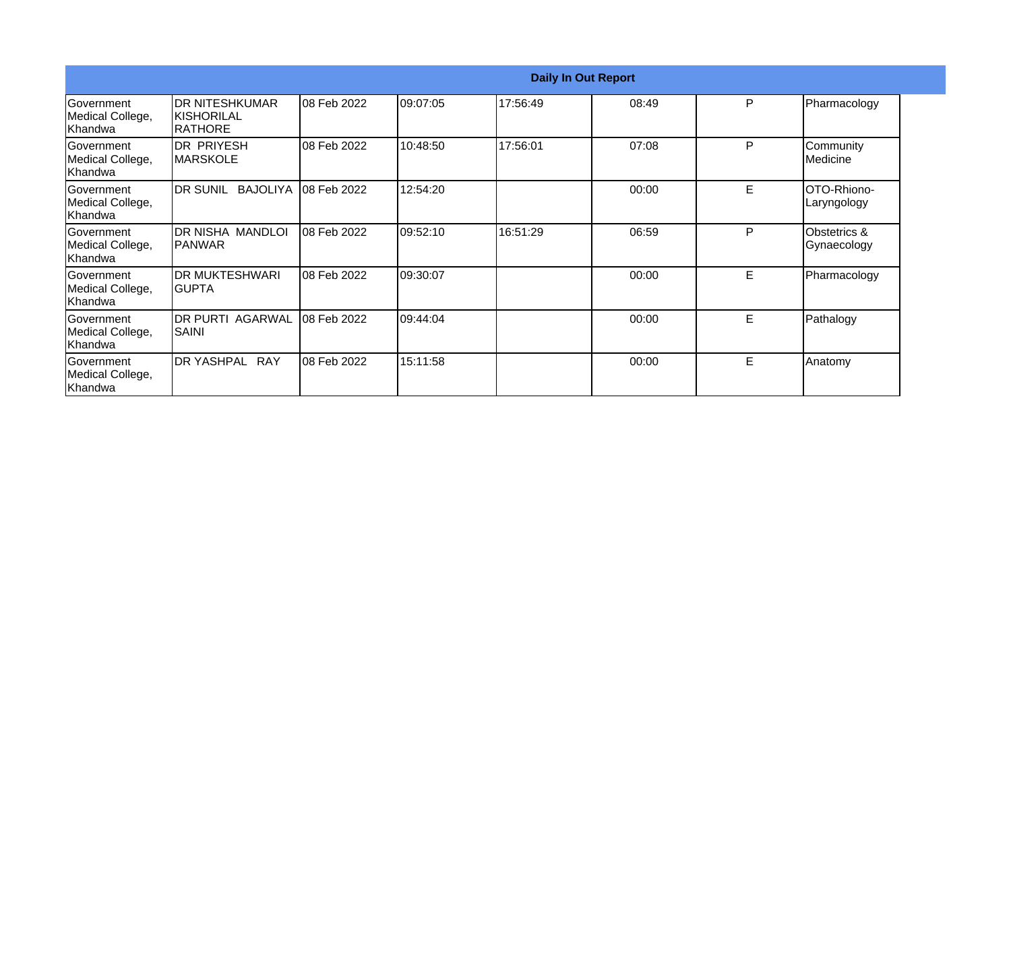|                                                   |                                                                |             |          | <b>Daily In Out Report</b> |       |   |                             |
|---------------------------------------------------|----------------------------------------------------------------|-------------|----------|----------------------------|-------|---|-----------------------------|
| Government<br>Medical College,<br> Khandwa        | <b>IDR NITESHKUMAR</b><br><b>KISHORILAL</b><br><b>IRATHORE</b> | 08 Feb 2022 | 09:07:05 | 17:56:49                   | 08:49 | P | Pharmacology                |
| <b>Government</b><br>Medical College,<br> Khandwa | DR PRIYESH<br><b>MARSKOLE</b>                                  | 08 Feb 2022 | 10:48:50 | 17:56:01                   | 07:08 | P | Community<br>Medicine       |
| <b>Government</b><br>Medical College,<br>lKhandwa | DR SUNIL BAJOLIYA 08 Feb 2022                                  |             | 12:54:20 |                            | 00:00 | E | OTO-Rhiono-<br>Laryngology  |
| Government<br>Medical College,<br>Khandwa         | DR NISHA MANDLOI<br><b>IPANWAR</b>                             | 08 Feb 2022 | 09:52:10 | 16:51:29                   | 06:59 | P | Obstetrics &<br>Gynaecology |
| <b>Government</b><br>Medical College,<br>Khandwa  | <b>IDR MUKTESHWARI</b><br>IGUPTA                               | 08 Feb 2022 | 09:30:07 |                            | 00:00 | E | Pharmacology                |
| Government<br>Medical College,<br>Khandwa         | IDR PURTI AGARWAL<br>ISAINI                                    | 08 Feb 2022 | 09:44:04 |                            | 00:00 | E | Pathalogy                   |
| <b>Government</b><br>Medical College,<br>Khandwa  | <b>IDR YASHPAL RAY</b>                                         | 08 Feb 2022 | 15:11:58 |                            | 00:00 | E | Anatomy                     |